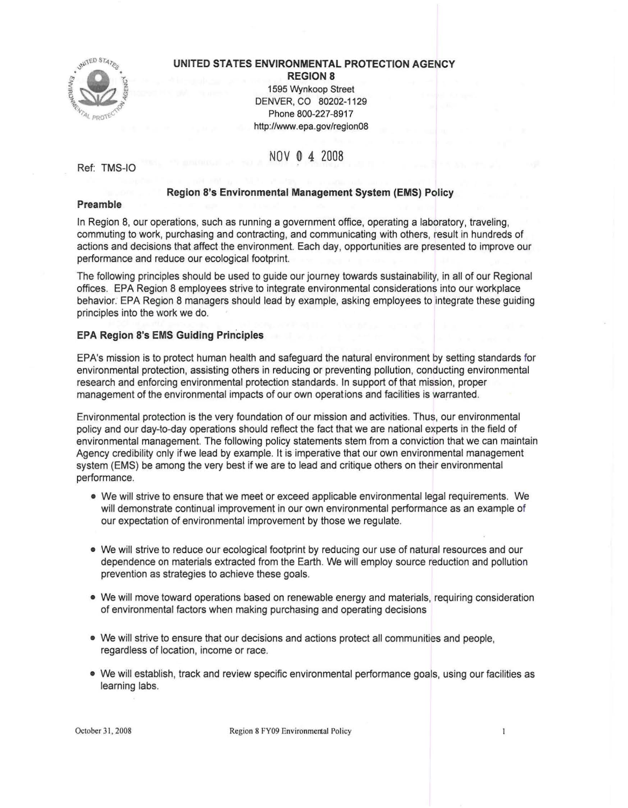

## **UNITED STATES ENVIRONMENTAL PROTECTION AGENCY**

**REGION 8** 1595 Wynkoop Street DENVER, CO 80202-1129 Phone 800-227-8917 <http://www.epa.gov/region08>

# NOV **O 4** 2008

Ref: TMS-10

## **Region S's Environmental Management System (EMS) Policy**

#### **Preamble**

In Region 8, our operations, such as running a government office, operating a laboratory, traveling, commuting to work, purchasing and contracting, and communicating with others, result in hundreds of actions and decisions that affect the environment. Each day, opportunities are presented to improve our performance and reduce our ecological footprint.

The following principles should be used to guide our journey towards sustainability, in all of our Regional offices. EPA Region 8 employees strive to integrate environmental considerations into our workplace behavior. EPA Region 8 managers should lead by example, asking employees to integrate these guiding principles into the work we do.

### **EPA Region S's EMS Guiding Principles**

EPA's mission is to protect human health and safeguard the natural environment by setting standards for environmental protection, assisting others in reducing or preventing pollution, conducting environmental research and enforcing environmental protection standards. In support of that mission, proper management of the environmental impacts of our own operations and facilities is warranted.

Environmental protection is the very foundation of our mission and activities. Thus, our environmental policy and our day-to-day operations should reflect the fact that we are national experts in the field of environmental management. The following policy statements stem from a conviction that we can maintain Agency credibility only ifwe lead by example. It is imperative that our own environmental management system (EMS) be among the very best if we are to lead and critique others on their environmental performance.

- We will strive to ensure that we meet or exceed applicable environmental legal requirements. We will demonstrate continual improvement in our own environmental performance as an example of our expectation of environmental improvement by those we regulate.
- We will strive to reduce our ecological footprint by reducing our use of natural resources and our dependence on materials extracted from the Earth. We will employ source reduction and pollution prevention as strategies to achieve these goals.
- We will move toward operations based on renewable energy and materials, requiring consideration of environmental factors when making purchasing and operating decisions
- We will strive to ensure that our decisions and actions protect all communities and people, regardless of location, income or race.
- We will establish, track and review specific environmental performance goals, using our facilities as learning labs.

October 31, 2008 Region 8 FY09 Environmental Policy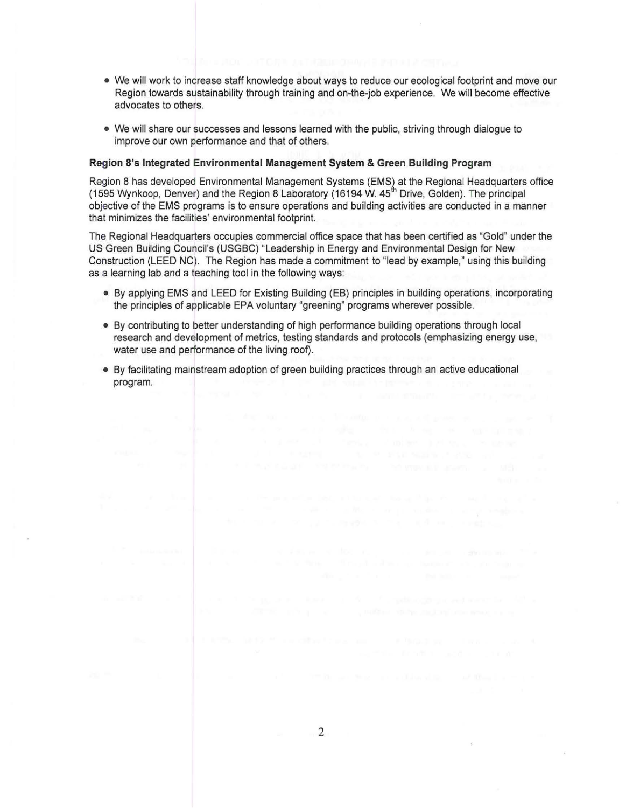- We will work to increase staff knowledge about ways to reduce our ecological footprint and move our Region towards sustainability through training and on-the-job experience. We will become effective advocates to others.
- We will share our successes and lessons learned with the public, striving through dialogue to improve our own performance and that of others.

#### **Region S's Integrated Environmental Management System & Green Building Program**

Region 8 has developed Environmental Management Systems (EMS) at the Regional Headquarters office (1595 Wynkoop, Denver) and the Region 8 Laboratory (16194 W. 45<sup>th</sup> Drive, Golden). The principal objective of the EMS programs is to ensure operations and building activities are conducted in a manner that minimizes the facilities' environmental footprint.

The Regional Headquarters occupies commercial office space that has been certified as "Gold" under the US Green Building Council's (USGBC) "Leadership in Energy and Environmental Design for **New**  Construction (LEED NC). The Region has made a commitment to "lead by example," using this building as a learning lab and a teaching tool in the following ways:

- By applying EMS and LEED for Existing Building (EB) principles in building operations, incorporating the principles of applicable EPA voluntary "greening" programs wherever possible.
- By contributing to better understanding of high performance building operations through local research and development of metrics, testing standards and protocols (emphasizing energy use, water use and performance of the living roof).
- By facilitating mainstream adoption of green building practices through an active educational program.